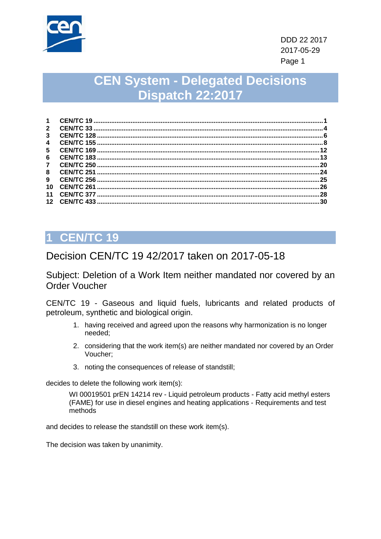

# **CEN System - Delegated Decisions Dispatch 22:2017**

| $\mathbf 1$             |     |
|-------------------------|-----|
| $\mathbf{2}$            | 4   |
| 3                       |     |
| $\overline{\mathbf{4}}$ |     |
| 5                       | 12  |
| 6                       |     |
| $\mathbf{7}$            | .20 |
| 8                       | 24  |
| 9                       | 25  |
| 10                      | 26  |
| 11                      | 28  |
| 12 <sub>1</sub>         | 30  |
|                         |     |

## <span id="page-0-0"></span>**1 CEN/TC 19**

#### Decision CEN/TC 19 42/2017 taken on 2017-05-18

Subject: Deletion of a Work Item neither mandated nor covered by an Order Voucher

CEN/TC 19 - Gaseous and liquid fuels, lubricants and related products of petroleum, synthetic and biological origin.

- 1. having received and agreed upon the reasons why harmonization is no longer needed;
- 2. considering that the work item(s) are neither mandated nor covered by an Order Voucher;
- 3. noting the consequences of release of standstill;

decides to delete the following work item(s):

WI 00019501 prEN 14214 rev - Liquid petroleum products - Fatty acid methyl esters (FAME) for use in diesel engines and heating applications - Requirements and test methods

and decides to release the standstill on these work item(s).

The decision was taken by unanimity.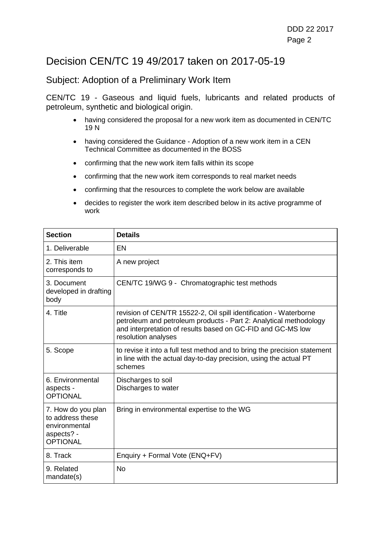#### Decision CEN/TC 19 49/2017 taken on 2017-05-19

#### Subject: Adoption of a Preliminary Work Item

CEN/TC 19 - Gaseous and liquid fuels, lubricants and related products of petroleum, synthetic and biological origin.

- having considered the proposal for a new work item as documented in CEN/TC 19 N
- having considered the Guidance Adoption of a new work item in a CEN Technical Committee as documented in the BOSS
- confirming that the new work item falls within its scope
- confirming that the new work item corresponds to real market needs
- confirming that the resources to complete the work below are available
- decides to register the work item described below in its active programme of work

| <b>Section</b>                                                                           | <b>Details</b>                                                                                                                                                                                                               |
|------------------------------------------------------------------------------------------|------------------------------------------------------------------------------------------------------------------------------------------------------------------------------------------------------------------------------|
| 1. Deliverable                                                                           | <b>EN</b>                                                                                                                                                                                                                    |
| 2. This item<br>corresponds to                                                           | A new project                                                                                                                                                                                                                |
| 3. Document<br>developed in drafting<br>body                                             | CEN/TC 19/WG 9 - Chromatographic test methods                                                                                                                                                                                |
| 4. Title                                                                                 | revision of CEN/TR 15522-2, Oil spill identification - Waterborne<br>petroleum and petroleum products - Part 2: Analytical methodology<br>and interpretation of results based on GC-FID and GC-MS low<br>resolution analyses |
| 5. Scope                                                                                 | to revise it into a full test method and to bring the precision statement<br>in line with the actual day-to-day precision, using the actual PT<br>schemes                                                                    |
| 6. Environmental<br>aspects -<br><b>OPTIONAL</b>                                         | Discharges to soil<br>Discharges to water                                                                                                                                                                                    |
| 7. How do you plan<br>to address these<br>environmental<br>aspects? -<br><b>OPTIONAL</b> | Bring in environmental expertise to the WG                                                                                                                                                                                   |
| 8. Track                                                                                 | Enquiry + Formal Vote (ENQ+FV)                                                                                                                                                                                               |
| 9. Related<br>mandate(s)                                                                 | <b>No</b>                                                                                                                                                                                                                    |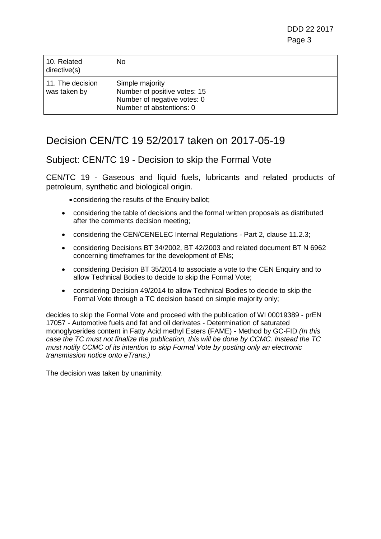DDD 22 2017 Page 3

| 10. Related<br>directive(s)      | No.                                                                                                        |
|----------------------------------|------------------------------------------------------------------------------------------------------------|
| 11. The decision<br>was taken by | Simple majority<br>Number of positive votes: 15<br>Number of negative votes: 0<br>Number of abstentions: 0 |

## Decision CEN/TC 19 52/2017 taken on 2017-05-19

Subject: CEN/TC 19 - Decision to skip the Formal Vote

CEN/TC 19 - Gaseous and liquid fuels, lubricants and related products of petroleum, synthetic and biological origin.

- considering the results of the Enquiry ballot;
- considering the table of decisions and the formal written proposals as distributed after the comments decision meeting;
- considering the CEN/CENELEC Internal Regulations Part 2, clause 11.2.3;
- considering Decisions BT 34/2002, BT 42/2003 and related document BT N 6962 concerning timeframes for the development of ENs;
- considering Decision BT 35/2014 to associate a vote to the CEN Enquiry and to allow Technical Bodies to decide to skip the Formal Vote;
- considering Decision 49/2014 to allow Technical Bodies to decide to skip the Formal Vote through a TC decision based on simple majority only;

decides to skip the Formal Vote and proceed with the publication of WI 00019389 - prEN 17057 - Automotive fuels and fat and oil derivates - Determination of saturated monoglycerides content in Fatty Acid methyl Esters (FAME) - Method by GC-FID *(In this case the TC must not finalize the publication, this will be done by CCMC. Instead the TC must notify CCMC of its intention to skip Formal Vote by posting only an electronic transmission notice onto eTrans.)*

The decision was taken by unanimity.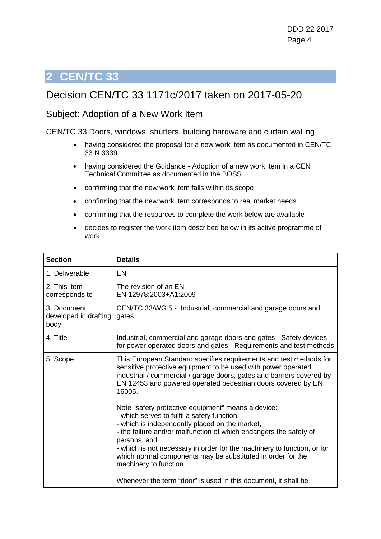### <span id="page-3-0"></span>Decision CEN/TC 33 1171c/2017 taken on 2017-05-20

#### Subject: Adoption of a New Work Item

CEN/TC 33 Doors, windows, shutters, building hardware and curtain walling

- having considered the proposal for a new work item as documented in CEN/TC 33 N 3339
- having considered the Guidance Adoption of a new work item in a CEN Technical Committee as documented in the BOSS
- confirming that the new work item falls within its scope
- confirming that the new work item corresponds to real market needs
- confirming that the resources to complete the work below are available
- decides to register the work item described below in its active programme of work

| <b>Section</b>                               | <b>Details</b>                                                                                                                                                                                                                                                                                                                                                                                               |
|----------------------------------------------|--------------------------------------------------------------------------------------------------------------------------------------------------------------------------------------------------------------------------------------------------------------------------------------------------------------------------------------------------------------------------------------------------------------|
| 1. Deliverable                               | EN                                                                                                                                                                                                                                                                                                                                                                                                           |
| 2. This item<br>corresponds to               | The revision of an EN<br>EN 12978:2003+A1:2009                                                                                                                                                                                                                                                                                                                                                               |
| 3. Document<br>developed in drafting<br>body | CEN/TC 33/WG 5 - Industrial, commercial and garage doors and<br>gates                                                                                                                                                                                                                                                                                                                                        |
| 4. Title                                     | Industrial, commercial and garage doors and gates - Safety devices<br>for power operated doors and gates - Requirements and test methods                                                                                                                                                                                                                                                                     |
| 5. Scope                                     | This European Standard specifies requirements and test methods for<br>sensitive protective equipment to be used with power operated<br>industrial / commercial / garage doors, gates and barriers covered by<br>EN 12453 and powered operated pedestrian doors covered by EN<br>16005.                                                                                                                       |
|                                              | Note "safety protective equipment" means a device:<br>- which serves to fulfil a safety function,<br>- which is independently placed on the market,<br>- the failure and/or malfunction of which endangers the safety of<br>persons, and<br>- which is not necessary in order for the machinery to function, or for<br>which normal components may be substituted in order for the<br>machinery to function. |
|                                              | Whenever the term "door" is used in this document, it shall be                                                                                                                                                                                                                                                                                                                                               |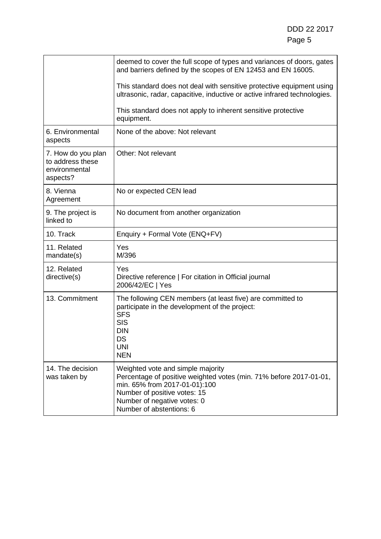|                                                                     | deemed to cover the full scope of types and variances of doors, gates<br>and barriers defined by the scopes of EN 12453 and EN 16005.                                                                                               |
|---------------------------------------------------------------------|-------------------------------------------------------------------------------------------------------------------------------------------------------------------------------------------------------------------------------------|
|                                                                     | This standard does not deal with sensitive protective equipment using<br>ultrasonic, radar, capacitive, inductive or active infrared technologies.                                                                                  |
|                                                                     | This standard does not apply to inherent sensitive protective<br>equipment.                                                                                                                                                         |
| 6. Environmental<br>aspects                                         | None of the above: Not relevant                                                                                                                                                                                                     |
| 7. How do you plan<br>to address these<br>environmental<br>aspects? | Other: Not relevant                                                                                                                                                                                                                 |
| 8. Vienna<br>Agreement                                              | No or expected CEN lead                                                                                                                                                                                                             |
| 9. The project is<br>linked to                                      | No document from another organization                                                                                                                                                                                               |
| 10. Track                                                           | Enquiry + Formal Vote (ENQ+FV)                                                                                                                                                                                                      |
| 11. Related<br>mandate(s)                                           | Yes<br>M/396                                                                                                                                                                                                                        |
| 12. Related<br>directive(s)                                         | Yes<br>Directive reference   For citation in Official journal<br>2006/42/EC   Yes                                                                                                                                                   |
| 13. Commitment                                                      | The following CEN members (at least five) are committed to<br>participate in the development of the project:<br><b>SFS</b><br><b>SIS</b><br><b>DIN</b><br>DS<br><b>UNI</b><br><b>NEN</b>                                            |
| 14. The decision<br>was taken by                                    | Weighted vote and simple majority<br>Percentage of positive weighted votes (min. 71% before 2017-01-01,<br>min. 65% from 2017-01-01):100<br>Number of positive votes: 15<br>Number of negative votes: 0<br>Number of abstentions: 6 |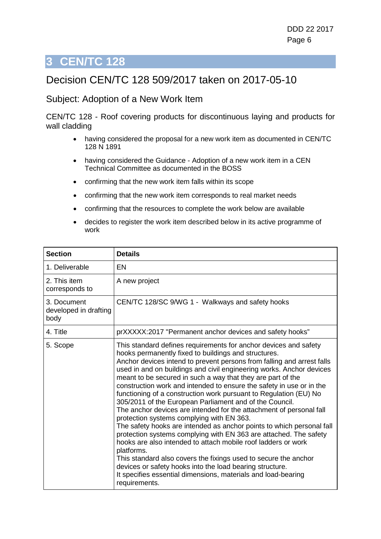### <span id="page-5-0"></span>Decision CEN/TC 128 509/2017 taken on 2017-05-10

#### Subject: Adoption of a New Work Item

CEN/TC 128 - Roof covering products for discontinuous laying and products for wall cladding

- having considered the proposal for a new work item as documented in CEN/TC 128 N 1891
- having considered the Guidance Adoption of a new work item in a CEN Technical Committee as documented in the BOSS
- confirming that the new work item falls within its scope
- confirming that the new work item corresponds to real market needs
- confirming that the resources to complete the work below are available
- decides to register the work item described below in its active programme of work

| <b>Section</b>                               | <b>Details</b>                                                                                                                                                                                                                                                                                                                                                                                                                                                                                                                                                                                                                                                                                                                                                                                                                                                                                                                                                                                                                                                                                                      |
|----------------------------------------------|---------------------------------------------------------------------------------------------------------------------------------------------------------------------------------------------------------------------------------------------------------------------------------------------------------------------------------------------------------------------------------------------------------------------------------------------------------------------------------------------------------------------------------------------------------------------------------------------------------------------------------------------------------------------------------------------------------------------------------------------------------------------------------------------------------------------------------------------------------------------------------------------------------------------------------------------------------------------------------------------------------------------------------------------------------------------------------------------------------------------|
| 1. Deliverable                               | EN                                                                                                                                                                                                                                                                                                                                                                                                                                                                                                                                                                                                                                                                                                                                                                                                                                                                                                                                                                                                                                                                                                                  |
| 2. This item<br>corresponds to               | A new project                                                                                                                                                                                                                                                                                                                                                                                                                                                                                                                                                                                                                                                                                                                                                                                                                                                                                                                                                                                                                                                                                                       |
| 3. Document<br>developed in drafting<br>body | CEN/TC 128/SC 9/WG 1 - Walkways and safety hooks                                                                                                                                                                                                                                                                                                                                                                                                                                                                                                                                                                                                                                                                                                                                                                                                                                                                                                                                                                                                                                                                    |
| 4. Title                                     | prXXXXX:2017 "Permanent anchor devices and safety hooks"                                                                                                                                                                                                                                                                                                                                                                                                                                                                                                                                                                                                                                                                                                                                                                                                                                                                                                                                                                                                                                                            |
| 5. Scope                                     | This standard defines requirements for anchor devices and safety<br>hooks permanently fixed to buildings and structures.<br>Anchor devices intend to prevent persons from falling and arrest falls<br>used in and on buildings and civil engineering works. Anchor devices<br>meant to be secured in such a way that they are part of the<br>construction work and intended to ensure the safety in use or in the<br>functioning of a construction work pursuant to Regulation (EU) No<br>305/2011 of the European Parliament and of the Council.<br>The anchor devices are intended for the attachment of personal fall<br>protection systems complying with EN 363.<br>The safety hooks are intended as anchor points to which personal fall<br>protection systems complying with EN 363 are attached. The safety<br>hooks are also intended to attach mobile roof ladders or work<br>platforms.<br>This standard also covers the fixings used to secure the anchor<br>devices or safety hooks into the load bearing structure.<br>It specifies essential dimensions, materials and load-bearing<br>requirements. |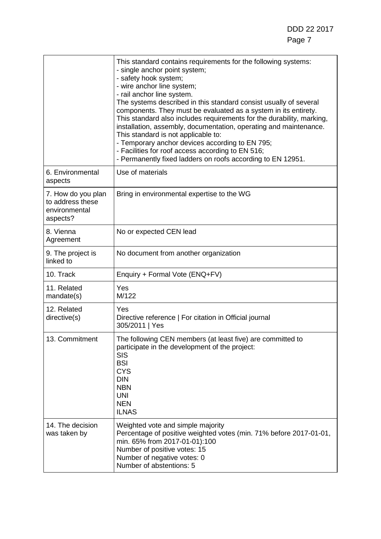|                                                                     | This standard contains requirements for the following systems:<br>- single anchor point system;<br>- safety hook system;<br>- wire anchor line system;<br>- rail anchor line system.<br>The systems described in this standard consist usually of several<br>components. They must be evaluated as a system in its entirety.<br>This standard also includes requirements for the durability, marking,<br>installation, assembly, documentation, operating and maintenance.<br>This standard is not applicable to:<br>- Temporary anchor devices according to EN 795;<br>- Facilities for roof access according to EN 516;<br>- Permanently fixed ladders on roofs according to EN 12951. |
|---------------------------------------------------------------------|------------------------------------------------------------------------------------------------------------------------------------------------------------------------------------------------------------------------------------------------------------------------------------------------------------------------------------------------------------------------------------------------------------------------------------------------------------------------------------------------------------------------------------------------------------------------------------------------------------------------------------------------------------------------------------------|
| 6. Environmental<br>aspects                                         | Use of materials                                                                                                                                                                                                                                                                                                                                                                                                                                                                                                                                                                                                                                                                         |
| 7. How do you plan<br>to address these<br>environmental<br>aspects? | Bring in environmental expertise to the WG                                                                                                                                                                                                                                                                                                                                                                                                                                                                                                                                                                                                                                               |
| 8. Vienna<br>Agreement                                              | No or expected CEN lead                                                                                                                                                                                                                                                                                                                                                                                                                                                                                                                                                                                                                                                                  |
| 9. The project is<br>linked to                                      | No document from another organization                                                                                                                                                                                                                                                                                                                                                                                                                                                                                                                                                                                                                                                    |
| 10. Track                                                           | Enquiry + Formal Vote (ENQ+FV)                                                                                                                                                                                                                                                                                                                                                                                                                                                                                                                                                                                                                                                           |
| 11. Related<br>mandate(s)                                           | Yes<br>M/122                                                                                                                                                                                                                                                                                                                                                                                                                                                                                                                                                                                                                                                                             |
| 12. Related<br>directive(s)                                         | Yes<br>Directive reference   For citation in Official journal<br>305/2011   Yes                                                                                                                                                                                                                                                                                                                                                                                                                                                                                                                                                                                                          |
| 13. Commitment                                                      | The following CEN members (at least five) are committed to<br>participate in the development of the project:<br><b>SIS</b><br><b>BSI</b><br><b>CYS</b><br><b>DIN</b><br><b>NBN</b><br><b>UNI</b><br><b>NEN</b><br><b>ILNAS</b>                                                                                                                                                                                                                                                                                                                                                                                                                                                           |
| 14. The decision<br>was taken by                                    | Weighted vote and simple majority<br>Percentage of positive weighted votes (min. 71% before 2017-01-01,<br>min. 65% from 2017-01-01):100<br>Number of positive votes: 15<br>Number of negative votes: 0<br>Number of abstentions: 5                                                                                                                                                                                                                                                                                                                                                                                                                                                      |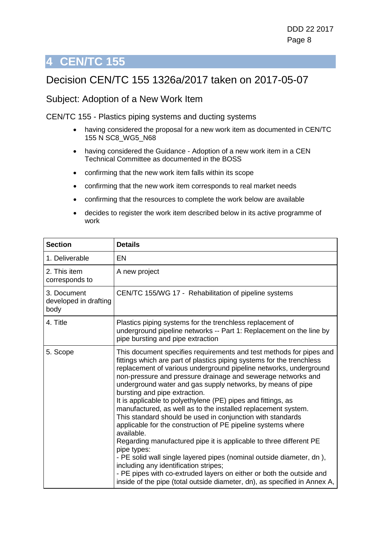## <span id="page-7-0"></span>Decision CEN/TC 155 1326a/2017 taken on 2017-05-07

#### Subject: Adoption of a New Work Item

CEN/TC 155 - Plastics piping systems and ducting systems

- having considered the proposal for a new work item as documented in CEN/TC 155 N SC8\_WG5\_N68
- having considered the Guidance Adoption of a new work item in a CEN Technical Committee as documented in the BOSS
- confirming that the new work item falls within its scope
- confirming that the new work item corresponds to real market needs
- confirming that the resources to complete the work below are available
- decides to register the work item described below in its active programme of work

| <b>Section</b>                               | <b>Details</b>                                                                                                                                                                                                                                                                                                                                                                                                                                                                                                                                                                                                                                                                                                                                                                                                                                                                                                                                                                                                            |
|----------------------------------------------|---------------------------------------------------------------------------------------------------------------------------------------------------------------------------------------------------------------------------------------------------------------------------------------------------------------------------------------------------------------------------------------------------------------------------------------------------------------------------------------------------------------------------------------------------------------------------------------------------------------------------------------------------------------------------------------------------------------------------------------------------------------------------------------------------------------------------------------------------------------------------------------------------------------------------------------------------------------------------------------------------------------------------|
| 1. Deliverable                               | <b>EN</b>                                                                                                                                                                                                                                                                                                                                                                                                                                                                                                                                                                                                                                                                                                                                                                                                                                                                                                                                                                                                                 |
| 2. This item<br>corresponds to               | A new project                                                                                                                                                                                                                                                                                                                                                                                                                                                                                                                                                                                                                                                                                                                                                                                                                                                                                                                                                                                                             |
| 3. Document<br>developed in drafting<br>body | CEN/TC 155/WG 17 - Rehabilitation of pipeline systems                                                                                                                                                                                                                                                                                                                                                                                                                                                                                                                                                                                                                                                                                                                                                                                                                                                                                                                                                                     |
| 4. Title                                     | Plastics piping systems for the trenchless replacement of<br>underground pipeline networks -- Part 1: Replacement on the line by<br>pipe bursting and pipe extraction                                                                                                                                                                                                                                                                                                                                                                                                                                                                                                                                                                                                                                                                                                                                                                                                                                                     |
| 5. Scope                                     | This document specifies requirements and test methods for pipes and<br>fittings which are part of plastics piping systems for the trenchless<br>replacement of various underground pipeline networks, underground<br>non-pressure and pressure drainage and sewerage networks and<br>underground water and gas supply networks, by means of pipe<br>bursting and pipe extraction.<br>It is applicable to polyethylene (PE) pipes and fittings, as<br>manufactured, as well as to the installed replacement system.<br>This standard should be used in conjunction with standards<br>applicable for the construction of PE pipeline systems where<br>available.<br>Regarding manufactured pipe it is applicable to three different PE<br>pipe types:<br>- PE solid wall single layered pipes (nominal outside diameter, dn),<br>including any identification stripes;<br>- PE pipes with co-extruded layers on either or both the outside and<br>inside of the pipe (total outside diameter, dn), as specified in Annex A, |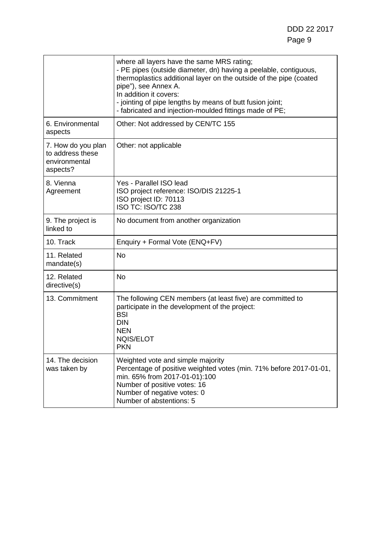|                                                                     | where all layers have the same MRS rating;<br>- PE pipes (outside diameter, dn) having a peelable, contiguous,<br>thermoplastics additional layer on the outside of the pipe (coated<br>pipe"), see Annex A.<br>In addition it covers:<br>- jointing of pipe lengths by means of butt fusion joint;<br>- fabricated and injection-moulded fittings made of PE; |
|---------------------------------------------------------------------|----------------------------------------------------------------------------------------------------------------------------------------------------------------------------------------------------------------------------------------------------------------------------------------------------------------------------------------------------------------|
| 6. Environmental<br>aspects                                         | Other: Not addressed by CEN/TC 155                                                                                                                                                                                                                                                                                                                             |
| 7. How do you plan<br>to address these<br>environmental<br>aspects? | Other: not applicable                                                                                                                                                                                                                                                                                                                                          |
| 8. Vienna<br>Agreement                                              | Yes - Parallel ISO lead<br>ISO project reference: ISO/DIS 21225-1<br>ISO project ID: 70113<br>ISO TC: ISO/TC 238                                                                                                                                                                                                                                               |
| 9. The project is<br>linked to                                      | No document from another organization                                                                                                                                                                                                                                                                                                                          |
| 10. Track                                                           | Enquiry + Formal Vote (ENQ+FV)                                                                                                                                                                                                                                                                                                                                 |
| 11. Related<br>mandate(s)                                           | <b>No</b>                                                                                                                                                                                                                                                                                                                                                      |
| 12. Related<br>directive(s)                                         | <b>No</b>                                                                                                                                                                                                                                                                                                                                                      |
| 13. Commitment                                                      | The following CEN members (at least five) are committed to<br>participate in the development of the project:<br><b>BSI</b><br><b>DIN</b><br><b>NEN</b><br><b>NQIS/ELOT</b><br><b>PKN</b>                                                                                                                                                                       |
| 14. The decision<br>was taken by                                    | Weighted vote and simple majority<br>Percentage of positive weighted votes (min. 71% before 2017-01-01,<br>min. 65% from 2017-01-01):100<br>Number of positive votes: 16<br>Number of negative votes: 0<br>Number of abstentions: 5                                                                                                                            |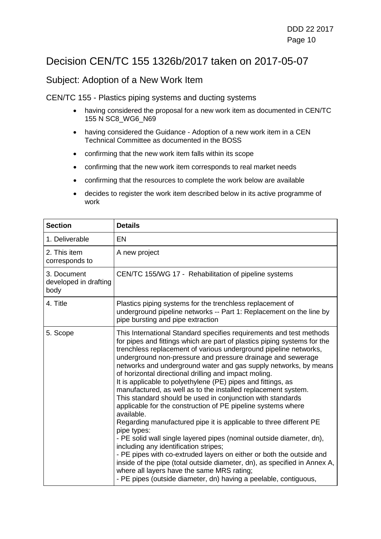### Decision CEN/TC 155 1326b/2017 taken on 2017-05-07

#### Subject: Adoption of a New Work Item

CEN/TC 155 - Plastics piping systems and ducting systems

- having considered the proposal for a new work item as documented in CEN/TC 155 N SC8 WG6 N69
- having considered the Guidance Adoption of a new work item in a CEN Technical Committee as documented in the BOSS
- confirming that the new work item falls within its scope
- confirming that the new work item corresponds to real market needs
- confirming that the resources to complete the work below are available
- decides to register the work item described below in its active programme of work

| <b>Section</b>                               | <b>Details</b>                                                                                                                                                                                                                                                                                                                                                                                                                                                                                                                                                                                                                                                                                                                                                                                                                                                                                                                                                                                                                                                                                                                                                            |
|----------------------------------------------|---------------------------------------------------------------------------------------------------------------------------------------------------------------------------------------------------------------------------------------------------------------------------------------------------------------------------------------------------------------------------------------------------------------------------------------------------------------------------------------------------------------------------------------------------------------------------------------------------------------------------------------------------------------------------------------------------------------------------------------------------------------------------------------------------------------------------------------------------------------------------------------------------------------------------------------------------------------------------------------------------------------------------------------------------------------------------------------------------------------------------------------------------------------------------|
| 1. Deliverable                               | <b>EN</b>                                                                                                                                                                                                                                                                                                                                                                                                                                                                                                                                                                                                                                                                                                                                                                                                                                                                                                                                                                                                                                                                                                                                                                 |
| 2. This item<br>corresponds to               | A new project                                                                                                                                                                                                                                                                                                                                                                                                                                                                                                                                                                                                                                                                                                                                                                                                                                                                                                                                                                                                                                                                                                                                                             |
| 3. Document<br>developed in drafting<br>body | CEN/TC 155/WG 17 - Rehabilitation of pipeline systems                                                                                                                                                                                                                                                                                                                                                                                                                                                                                                                                                                                                                                                                                                                                                                                                                                                                                                                                                                                                                                                                                                                     |
| 4. Title                                     | Plastics piping systems for the trenchless replacement of<br>underground pipeline networks -- Part 1: Replacement on the line by<br>pipe bursting and pipe extraction                                                                                                                                                                                                                                                                                                                                                                                                                                                                                                                                                                                                                                                                                                                                                                                                                                                                                                                                                                                                     |
| 5. Scope                                     | This International Standard specifies requirements and test methods<br>for pipes and fittings which are part of plastics piping systems for the<br>trenchless replacement of various underground pipeline networks,<br>underground non-pressure and pressure drainage and sewerage<br>networks and underground water and gas supply networks, by means<br>of horizontal directional drilling and impact moling.<br>It is applicable to polyethylene (PE) pipes and fittings, as<br>manufactured, as well as to the installed replacement system.<br>This standard should be used in conjunction with standards<br>applicable for the construction of PE pipeline systems where<br>available.<br>Regarding manufactured pipe it is applicable to three different PE<br>pipe types:<br>- PE solid wall single layered pipes (nominal outside diameter, dn),<br>including any identification stripes;<br>- PE pipes with co-extruded layers on either or both the outside and<br>inside of the pipe (total outside diameter, dn), as specified in Annex A,<br>where all layers have the same MRS rating;<br>- PE pipes (outside diameter, dn) having a peelable, contiguous, |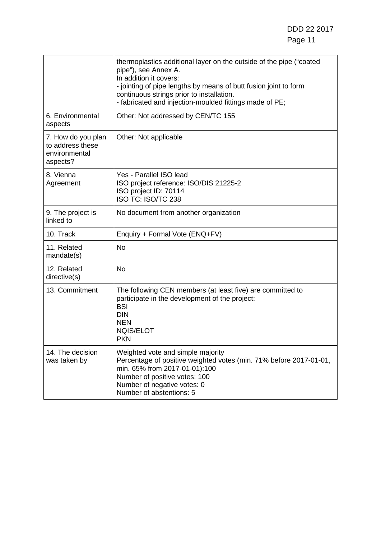|                                                                     | thermoplastics additional layer on the outside of the pipe ("coated<br>pipe"), see Annex A.<br>In addition it covers:<br>- jointing of pipe lengths by means of butt fusion joint to form<br>continuous strings prior to installation.<br>- fabricated and injection-moulded fittings made of PE; |
|---------------------------------------------------------------------|---------------------------------------------------------------------------------------------------------------------------------------------------------------------------------------------------------------------------------------------------------------------------------------------------|
| 6. Environmental<br>aspects                                         | Other: Not addressed by CEN/TC 155                                                                                                                                                                                                                                                                |
| 7. How do you plan<br>to address these<br>environmental<br>aspects? | Other: Not applicable                                                                                                                                                                                                                                                                             |
| 8. Vienna<br>Agreement                                              | Yes - Parallel ISO lead<br>ISO project reference: ISO/DIS 21225-2<br>ISO project ID: 70114<br>ISO TC: ISO/TC 238                                                                                                                                                                                  |
| 9. The project is<br>linked to                                      | No document from another organization                                                                                                                                                                                                                                                             |
| 10. Track                                                           | Enquiry + Formal Vote (ENQ+FV)                                                                                                                                                                                                                                                                    |
| 11. Related<br>mandate(s)                                           | <b>No</b>                                                                                                                                                                                                                                                                                         |
| 12. Related<br>directive(s)                                         | <b>No</b>                                                                                                                                                                                                                                                                                         |
| 13. Commitment                                                      | The following CEN members (at least five) are committed to<br>participate in the development of the project:<br><b>BSI</b><br><b>DIN</b><br><b>NEN</b><br><b>NQIS/ELOT</b><br><b>PKN</b>                                                                                                          |
| 14. The decision<br>was taken by                                    | Weighted vote and simple majority<br>Percentage of positive weighted votes (min. 71% before 2017-01-01,<br>min. 65% from 2017-01-01):100<br>Number of positive votes: 100<br>Number of negative votes: 0<br>Number of abstentions: 5                                                              |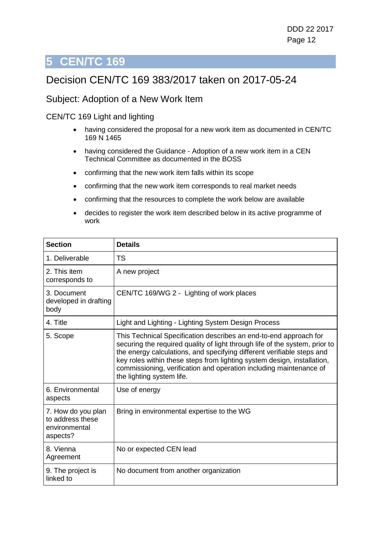### <span id="page-11-0"></span>Decision CEN/TC 169 383/2017 taken on 2017-05-24

#### Subject: Adoption of a New Work Item

CEN/TC 169 Light and lighting

- having considered the proposal for a new work item as documented in CEN/TC 169 N 1465
- having considered the Guidance Adoption of a new work item in a CEN Technical Committee as documented in the BOSS
- confirming that the new work item falls within its scope
- confirming that the new work item corresponds to real market needs
- confirming that the resources to complete the work below are available
- decides to register the work item described below in its active programme of work

| <b>Section</b>                                                      | <b>Details</b>                                                                                                                                                                                                                                                                                                                                                                                           |
|---------------------------------------------------------------------|----------------------------------------------------------------------------------------------------------------------------------------------------------------------------------------------------------------------------------------------------------------------------------------------------------------------------------------------------------------------------------------------------------|
| 1. Deliverable                                                      | <b>TS</b>                                                                                                                                                                                                                                                                                                                                                                                                |
| 2. This item<br>corresponds to                                      | A new project                                                                                                                                                                                                                                                                                                                                                                                            |
| 3. Document<br>developed in drafting<br>body                        | CEN/TC 169/WG 2 - Lighting of work places                                                                                                                                                                                                                                                                                                                                                                |
| 4. Title                                                            | Light and Lighting - Lighting System Design Process                                                                                                                                                                                                                                                                                                                                                      |
| 5. Scope                                                            | This Technical Specification describes an end-to-end approach for<br>securing the required quality of light through life of the system, prior to<br>the energy calculations, and specifying different verifiable steps and<br>key roles within these steps from lighting system design, installation,<br>commissioning, verification and operation including maintenance of<br>the lighting system life. |
| 6. Environmental<br>aspects                                         | Use of energy                                                                                                                                                                                                                                                                                                                                                                                            |
| 7. How do you plan<br>to address these<br>environmental<br>aspects? | Bring in environmental expertise to the WG                                                                                                                                                                                                                                                                                                                                                               |
| 8. Vienna<br>Agreement                                              | No or expected CEN lead                                                                                                                                                                                                                                                                                                                                                                                  |
| 9. The project is<br>linked to                                      | No document from another organization                                                                                                                                                                                                                                                                                                                                                                    |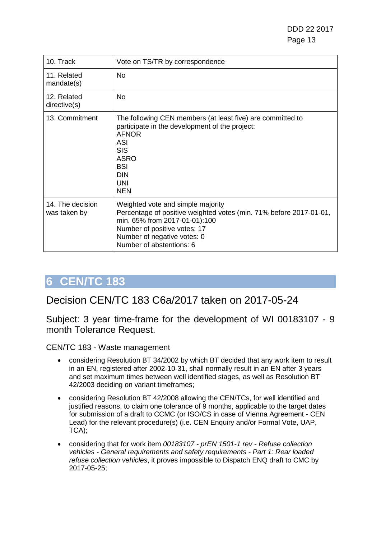DDD 22 2017 Page 13

| 10. Track                        | Vote on TS/TR by correspondence                                                                                                                                                                                                     |
|----------------------------------|-------------------------------------------------------------------------------------------------------------------------------------------------------------------------------------------------------------------------------------|
| 11. Related<br>mandate(s)        | No                                                                                                                                                                                                                                  |
| 12. Related<br>directive(s)      | No.                                                                                                                                                                                                                                 |
| 13. Commitment                   | The following CEN members (at least five) are committed to<br>participate in the development of the project:<br><b>AFNOR</b><br><b>ASI</b><br><b>SIS</b><br><b>ASRO</b><br><b>BSI</b><br><b>DIN</b><br><b>UNI</b><br><b>NEN</b>     |
| 14. The decision<br>was taken by | Weighted vote and simple majority<br>Percentage of positive weighted votes (min. 71% before 2017-01-01,<br>min. 65% from 2017-01-01):100<br>Number of positive votes: 17<br>Number of negative votes: 0<br>Number of abstentions: 6 |

## <span id="page-12-0"></span>**6 CEN/TC 183**

#### Decision CEN/TC 183 C6a/2017 taken on 2017-05-24

Subject: 3 year time-frame for the development of WI 00183107 - 9 month Tolerance Request.

CEN/TC 183 - Waste management

- considering Resolution BT 34/2002 by which BT decided that any work item to result in an EN, registered after 2002-10-31, shall normally result in an EN after 3 years and set maximum times between well identified stages, as well as Resolution BT 42/2003 deciding on variant timeframes;
- considering Resolution BT 42/2008 allowing the CEN/TCs, for well identified and justified reasons, to claim one tolerance of 9 months, applicable to the target dates for submission of a draft to CCMC (or ISO/CS in case of Vienna Agreement - CEN Lead) for the relevant procedure(s) (i.e. CEN Enquiry and/or Formal Vote, UAP, TCA);
- considering that for work item *00183107 - prEN 1501-1 rev - Refuse collection vehicles - General requirements and safety requirements - Part 1: Rear loaded refuse collection vehicles*, it proves impossible to Dispatch ENQ draft to CMC by 2017-05-25;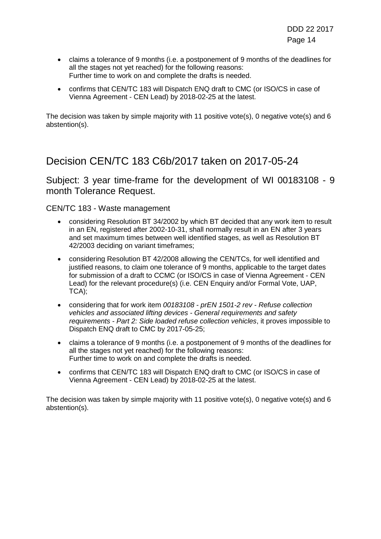- claims a tolerance of 9 months (i.e. a postponement of 9 months of the deadlines for all the stages not yet reached) for the following reasons: Further time to work on and complete the drafts is needed.
- confirms that CEN/TC 183 will Dispatch ENQ draft to CMC (or ISO/CS in case of Vienna Agreement - CEN Lead) by 2018-02-25 at the latest.

The decision was taken by simple majority with 11 positive vote(s), 0 negative vote(s) and 6 abstention(s).

#### Decision CEN/TC 183 C6b/2017 taken on 2017-05-24

Subject: 3 year time-frame for the development of WI 00183108 - 9 month Tolerance Request.

#### CEN/TC 183 - Waste management

- considering Resolution BT 34/2002 by which BT decided that any work item to result in an EN, registered after 2002-10-31, shall normally result in an EN after 3 years and set maximum times between well identified stages, as well as Resolution BT 42/2003 deciding on variant timeframes;
- considering Resolution BT 42/2008 allowing the CEN/TCs, for well identified and justified reasons, to claim one tolerance of 9 months, applicable to the target dates for submission of a draft to CCMC (or ISO/CS in case of Vienna Agreement - CEN Lead) for the relevant procedure(s) (i.e. CEN Enquiry and/or Formal Vote, UAP, TCA);
- considering that for work item *00183108 - prEN 1501-2 rev - Refuse collection vehicles and associated lifting devices - General requirements and safety requirements - Part 2: Side loaded refuse collection vehicles*, it proves impossible to Dispatch ENQ draft to CMC by 2017-05-25;
- claims a tolerance of 9 months (i.e. a postponement of 9 months of the deadlines for all the stages not yet reached) for the following reasons: Further time to work on and complete the drafts is needed.
- confirms that CEN/TC 183 will Dispatch ENQ draft to CMC (or ISO/CS in case of Vienna Agreement - CEN Lead) by 2018-02-25 at the latest.

The decision was taken by simple majority with 11 positive vote(s), 0 negative vote(s) and 6 abstention(s).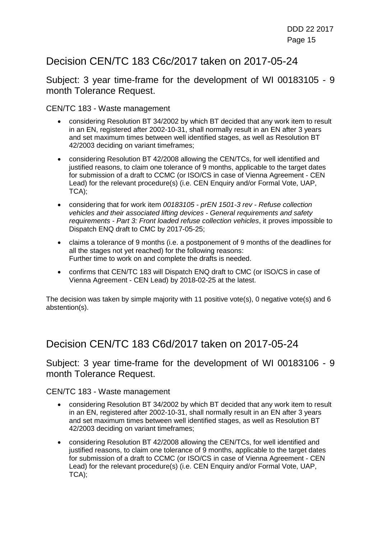## Decision CEN/TC 183 C6c/2017 taken on 2017-05-24

Subject: 3 year time-frame for the development of WI 00183105 - 9 month Tolerance Request.

CEN/TC 183 - Waste management

- considering Resolution BT 34/2002 by which BT decided that any work item to result in an EN, registered after 2002-10-31, shall normally result in an EN after 3 years and set maximum times between well identified stages, as well as Resolution BT 42/2003 deciding on variant timeframes;
- considering Resolution BT 42/2008 allowing the CEN/TCs, for well identified and justified reasons, to claim one tolerance of 9 months, applicable to the target dates for submission of a draft to CCMC (or ISO/CS in case of Vienna Agreement - CEN Lead) for the relevant procedure(s) (i.e. CEN Enquiry and/or Formal Vote, UAP, TCA);
- considering that for work item *00183105 - prEN 1501-3 rev - Refuse collection vehicles and their associated lifting devices - General requirements and safety requirements - Part 3: Front loaded refuse collection vehicles*, it proves impossible to Dispatch ENQ draft to CMC by 2017-05-25;
- claims a tolerance of 9 months (i.e. a postponement of 9 months of the deadlines for all the stages not yet reached) for the following reasons: Further time to work on and complete the drafts is needed.
- confirms that CEN/TC 183 will Dispatch ENQ draft to CMC (or ISO/CS in case of Vienna Agreement - CEN Lead) by 2018-02-25 at the latest.

The decision was taken by simple majority with 11 positive vote(s), 0 negative vote(s) and 6 abstention(s).

### Decision CEN/TC 183 C6d/2017 taken on 2017-05-24

Subject: 3 year time-frame for the development of WI 00183106 - 9 month Tolerance Request.

CEN/TC 183 - Waste management

- considering Resolution BT 34/2002 by which BT decided that any work item to result in an EN, registered after 2002-10-31, shall normally result in an EN after 3 years and set maximum times between well identified stages, as well as Resolution BT 42/2003 deciding on variant timeframes;
- considering Resolution BT 42/2008 allowing the CEN/TCs, for well identified and justified reasons, to claim one tolerance of 9 months, applicable to the target dates for submission of a draft to CCMC (or ISO/CS in case of Vienna Agreement - CEN Lead) for the relevant procedure(s) (i.e. CEN Enquiry and/or Formal Vote, UAP, TCA);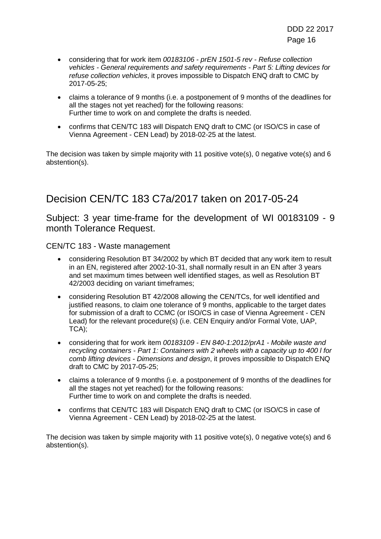- considering that for work item *00183106 - prEN 1501-5 rev - Refuse collection vehicles - General requirements and safety requirements - Part 5: Lifting devices for refuse collection vehicles*, it proves impossible to Dispatch ENQ draft to CMC by 2017-05-25;
- claims a tolerance of 9 months (i.e. a postponement of 9 months of the deadlines for all the stages not yet reached) for the following reasons: Further time to work on and complete the drafts is needed.
- confirms that CEN/TC 183 will Dispatch ENQ draft to CMC (or ISO/CS in case of Vienna Agreement - CEN Lead) by 2018-02-25 at the latest.

The decision was taken by simple majority with 11 positive vote(s), 0 negative vote(s) and 6 abstention(s).

## Decision CEN/TC 183 C7a/2017 taken on 2017-05-24

Subject: 3 year time-frame for the development of WI 00183109 - 9 month Tolerance Request.

CEN/TC 183 - Waste management

- considering Resolution BT 34/2002 by which BT decided that any work item to result in an EN, registered after 2002-10-31, shall normally result in an EN after 3 years and set maximum times between well identified stages, as well as Resolution BT 42/2003 deciding on variant timeframes;
- considering Resolution BT 42/2008 allowing the CEN/TCs, for well identified and justified reasons, to claim one tolerance of 9 months, applicable to the target dates for submission of a draft to CCMC (or ISO/CS in case of Vienna Agreement - CEN Lead) for the relevant procedure(s) (i.e. CEN Enquiry and/or Formal Vote, UAP, TCA);
- considering that for work item *00183109 - EN 840-1:2012/prA1 - Mobile waste and recycling containers - Part 1: Containers with 2 wheels with a capacity up to 400 l for comb lifting devices - Dimensions and design*, it proves impossible to Dispatch ENQ draft to CMC by 2017-05-25;
- claims a tolerance of 9 months (i.e. a postponement of 9 months of the deadlines for all the stages not yet reached) for the following reasons: Further time to work on and complete the drafts is needed.
- confirms that CEN/TC 183 will Dispatch ENQ draft to CMC (or ISO/CS in case of Vienna Agreement - CEN Lead) by 2018-02-25 at the latest.

The decision was taken by simple majority with 11 positive vote(s), 0 negative vote(s) and 6 abstention(s).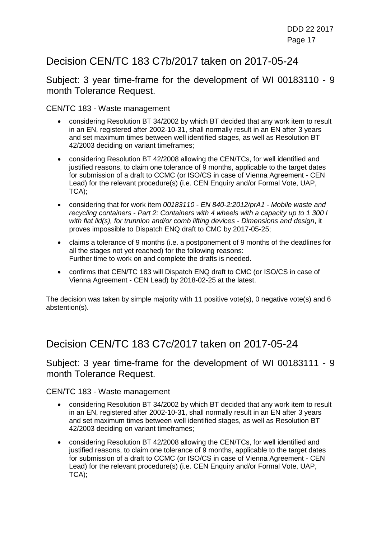## Decision CEN/TC 183 C7b/2017 taken on 2017-05-24

Subject: 3 year time-frame for the development of WI 00183110 - 9 month Tolerance Request.

CEN/TC 183 - Waste management

- considering Resolution BT 34/2002 by which BT decided that any work item to result in an EN, registered after 2002-10-31, shall normally result in an EN after 3 years and set maximum times between well identified stages, as well as Resolution BT 42/2003 deciding on variant timeframes;
- considering Resolution BT 42/2008 allowing the CEN/TCs, for well identified and justified reasons, to claim one tolerance of 9 months, applicable to the target dates for submission of a draft to CCMC (or ISO/CS in case of Vienna Agreement - CEN Lead) for the relevant procedure(s) (i.e. CEN Enquiry and/or Formal Vote, UAP, TCA);
- considering that for work item *00183110 - EN 840-2:2012/prA1 - Mobile waste and recycling containers - Part 2: Containers with 4 wheels with a capacity up to 1 300 l with flat lid(s), for trunnion and/or comb lifting devices - Dimensions and design*, it proves impossible to Dispatch ENQ draft to CMC by 2017-05-25;
- claims a tolerance of 9 months (i.e. a postponement of 9 months of the deadlines for all the stages not yet reached) for the following reasons: Further time to work on and complete the drafts is needed.
- confirms that CEN/TC 183 will Dispatch ENQ draft to CMC (or ISO/CS in case of Vienna Agreement - CEN Lead) by 2018-02-25 at the latest.

The decision was taken by simple majority with 11 positive vote(s), 0 negative vote(s) and 6 abstention(s).

### Decision CEN/TC 183 C7c/2017 taken on 2017-05-24

Subject: 3 year time-frame for the development of WI 00183111 - 9 month Tolerance Request.

CEN/TC 183 - Waste management

- considering Resolution BT 34/2002 by which BT decided that any work item to result in an EN, registered after 2002-10-31, shall normally result in an EN after 3 years and set maximum times between well identified stages, as well as Resolution BT 42/2003 deciding on variant timeframes;
- considering Resolution BT 42/2008 allowing the CEN/TCs, for well identified and justified reasons, to claim one tolerance of 9 months, applicable to the target dates for submission of a draft to CCMC (or ISO/CS in case of Vienna Agreement - CEN Lead) for the relevant procedure(s) (i.e. CEN Enquiry and/or Formal Vote, UAP, TCA);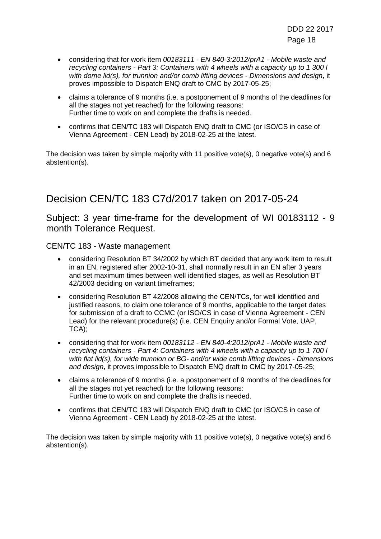- considering that for work item *00183111 - EN 840-3:2012/prA1 - Mobile waste and recycling containers - Part 3: Containers with 4 wheels with a capacity up to 1 300 l with dome lid(s), for trunnion and/or comb lifting devices - Dimensions and design*, it proves impossible to Dispatch ENQ draft to CMC by 2017-05-25;
- claims a tolerance of 9 months (i.e. a postponement of 9 months of the deadlines for all the stages not yet reached) for the following reasons: Further time to work on and complete the drafts is needed.
- confirms that CEN/TC 183 will Dispatch ENQ draft to CMC (or ISO/CS in case of Vienna Agreement - CEN Lead) by 2018-02-25 at the latest.

The decision was taken by simple majority with 11 positive vote(s), 0 negative vote(s) and 6 abstention(s).

## Decision CEN/TC 183 C7d/2017 taken on 2017-05-24

Subject: 3 year time-frame for the development of WI 00183112 - 9 month Tolerance Request.

CEN/TC 183 - Waste management

- considering Resolution BT 34/2002 by which BT decided that any work item to result in an EN, registered after 2002-10-31, shall normally result in an EN after 3 years and set maximum times between well identified stages, as well as Resolution BT 42/2003 deciding on variant timeframes;
- considering Resolution BT 42/2008 allowing the CEN/TCs, for well identified and justified reasons, to claim one tolerance of 9 months, applicable to the target dates for submission of a draft to CCMC (or ISO/CS in case of Vienna Agreement - CEN Lead) for the relevant procedure(s) (i.e. CEN Enquiry and/or Formal Vote, UAP, TCA);
- considering that for work item *00183112 - EN 840-4:2012/prA1 - Mobile waste and recycling containers - Part 4: Containers with 4 wheels with a capacity up to 1 700 l with flat lid(s), for wide trunnion or BG- and/or wide comb lifting devices - Dimensions and design*, it proves impossible to Dispatch ENQ draft to CMC by 2017-05-25;
- claims a tolerance of 9 months (i.e. a postponement of 9 months of the deadlines for all the stages not yet reached) for the following reasons: Further time to work on and complete the drafts is needed.
- confirms that CEN/TC 183 will Dispatch ENQ draft to CMC (or ISO/CS in case of Vienna Agreement - CEN Lead) by 2018-02-25 at the latest.

The decision was taken by simple majority with 11 positive vote(s), 0 negative vote(s) and 6 abstention(s).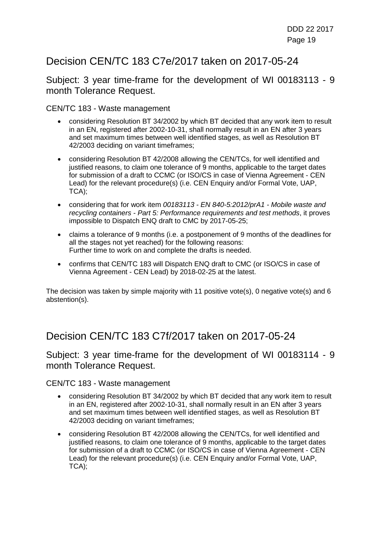## Decision CEN/TC 183 C7e/2017 taken on 2017-05-24

Subject: 3 year time-frame for the development of WI 00183113 - 9 month Tolerance Request.

CEN/TC 183 - Waste management

- considering Resolution BT 34/2002 by which BT decided that any work item to result in an EN, registered after 2002-10-31, shall normally result in an EN after 3 years and set maximum times between well identified stages, as well as Resolution BT 42/2003 deciding on variant timeframes;
- considering Resolution BT 42/2008 allowing the CEN/TCs, for well identified and justified reasons, to claim one tolerance of 9 months, applicable to the target dates for submission of a draft to CCMC (or ISO/CS in case of Vienna Agreement - CEN Lead) for the relevant procedure(s) (i.e. CEN Enquiry and/or Formal Vote, UAP, TCA);
- considering that for work item *00183113 - EN 840-5:2012/prA1 - Mobile waste and recycling containers - Part 5: Performance requirements and test methods*, it proves impossible to Dispatch ENQ draft to CMC by 2017-05-25;
- claims a tolerance of 9 months (i.e. a postponement of 9 months of the deadlines for all the stages not yet reached) for the following reasons: Further time to work on and complete the drafts is needed.
- confirms that CEN/TC 183 will Dispatch ENQ draft to CMC (or ISO/CS in case of Vienna Agreement - CEN Lead) by 2018-02-25 at the latest.

The decision was taken by simple majority with 11 positive vote(s), 0 negative vote(s) and 6 abstention(s).

#### Decision CEN/TC 183 C7f/2017 taken on 2017-05-24

#### Subject: 3 year time-frame for the development of WI 00183114 - 9 month Tolerance Request.

CEN/TC 183 - Waste management

- considering Resolution BT 34/2002 by which BT decided that any work item to result in an EN, registered after 2002-10-31, shall normally result in an EN after 3 years and set maximum times between well identified stages, as well as Resolution BT 42/2003 deciding on variant timeframes;
- considering Resolution BT 42/2008 allowing the CEN/TCs, for well identified and justified reasons, to claim one tolerance of 9 months, applicable to the target dates for submission of a draft to CCMC (or ISO/CS in case of Vienna Agreement - CEN Lead) for the relevant procedure(s) (i.e. CEN Enquiry and/or Formal Vote, UAP, TCA);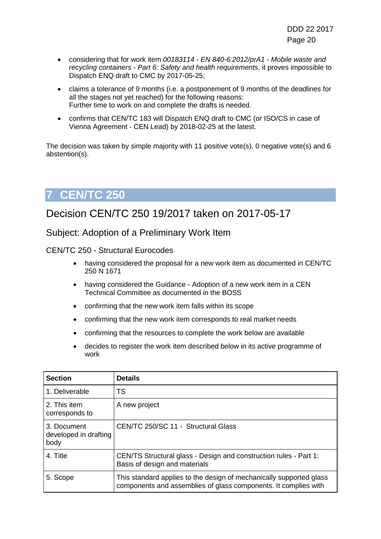- considering that for work item *00183114 - EN 840-6:2012/prA1 - Mobile waste and recycling containers - Part 6: Safety and health requirements*, it proves impossible to Dispatch ENQ draft to CMC by 2017-05-25;
- claims a tolerance of 9 months (i.e. a postponement of 9 months of the deadlines for all the stages not yet reached) for the following reasons: Further time to work on and complete the drafts is needed.
- confirms that CEN/TC 183 will Dispatch ENQ draft to CMC (or ISO/CS in case of Vienna Agreement - CEN Lead) by 2018-02-25 at the latest.

The decision was taken by simple majority with 11 positive vote(s), 0 negative vote(s) and 6 abstention(s).

# <span id="page-19-0"></span>**7 CEN/TC 250**

## Decision CEN/TC 250 19/2017 taken on 2017-05-17

Subject: Adoption of a Preliminary Work Item

CEN/TC 250 - Structural Eurocodes

- having considered the proposal for a new work item as documented in CEN/TC 250 N 1671
- having considered the Guidance Adoption of a new work item in a CEN Technical Committee as documented in the BOSS
- confirming that the new work item falls within its scope
- confirming that the new work item corresponds to real market needs
- confirming that the resources to complete the work below are available
- decides to register the work item described below in its active programme of work

| <b>Section</b>                               | <b>Details</b>                                                                                                                         |
|----------------------------------------------|----------------------------------------------------------------------------------------------------------------------------------------|
| 1. Deliverable                               | <b>TS</b>                                                                                                                              |
| 2. This item<br>corresponds to               | A new project                                                                                                                          |
| 3. Document<br>developed in drafting<br>body | CEN/TC 250/SC 11 - Structural Glass                                                                                                    |
| 4. Title                                     | CEN/TS Structural glass - Design and construction rules - Part 1:<br>Basis of design and materials                                     |
| 5. Scope                                     | This standard applies to the design of mechanically supported glass<br>components and assemblies of glass components. It complies with |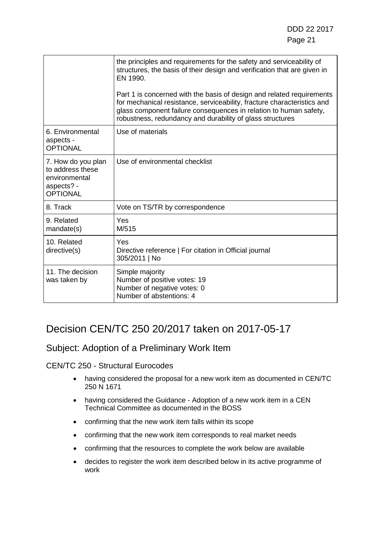|                                                                                          | the principles and requirements for the safety and serviceability of<br>structures, the basis of their design and verification that are given in<br>EN 1990.<br>Part 1 is concerned with the basis of design and related requirements<br>for mechanical resistance, serviceability, fracture characteristics and<br>glass component failure consequences in relation to human safety,<br>robustness, redundancy and durability of glass structures |
|------------------------------------------------------------------------------------------|----------------------------------------------------------------------------------------------------------------------------------------------------------------------------------------------------------------------------------------------------------------------------------------------------------------------------------------------------------------------------------------------------------------------------------------------------|
| 6. Environmental<br>aspects -<br><b>OPTIONAL</b>                                         | Use of materials                                                                                                                                                                                                                                                                                                                                                                                                                                   |
| 7. How do you plan<br>to address these<br>environmental<br>aspects? -<br><b>OPTIONAL</b> | Use of environmental checklist                                                                                                                                                                                                                                                                                                                                                                                                                     |
| 8. Track                                                                                 | Vote on TS/TR by correspondence                                                                                                                                                                                                                                                                                                                                                                                                                    |
| 9. Related<br>mandate(s)                                                                 | Yes<br>M/515                                                                                                                                                                                                                                                                                                                                                                                                                                       |
| 10. Related<br>directive(s)                                                              | Yes<br>Directive reference   For citation in Official journal<br>305/2011   No                                                                                                                                                                                                                                                                                                                                                                     |
| 11. The decision<br>was taken by                                                         | Simple majority<br>Number of positive votes: 19<br>Number of negative votes: 0<br>Number of abstentions: 4                                                                                                                                                                                                                                                                                                                                         |

## Decision CEN/TC 250 20/2017 taken on 2017-05-17

#### Subject: Adoption of a Preliminary Work Item

#### CEN/TC 250 - Structural Eurocodes

- having considered the proposal for a new work item as documented in CEN/TC 250 N 1671
- having considered the Guidance Adoption of a new work item in a CEN Technical Committee as documented in the BOSS
- confirming that the new work item falls within its scope
- confirming that the new work item corresponds to real market needs
- confirming that the resources to complete the work below are available
- decides to register the work item described below in its active programme of work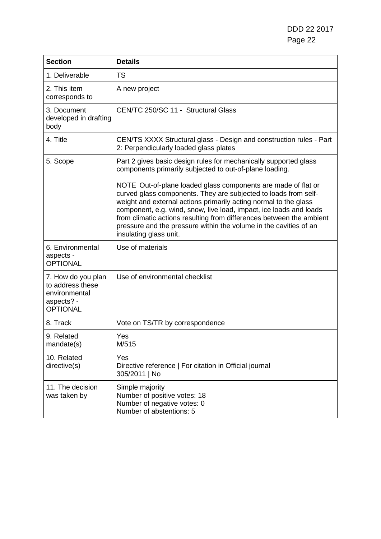DDD 22 2017 Page 22

| <b>Section</b>                                                                           | <b>Details</b>                                                                                                                                                                                                                                                                                                                                                                                                                                    |
|------------------------------------------------------------------------------------------|---------------------------------------------------------------------------------------------------------------------------------------------------------------------------------------------------------------------------------------------------------------------------------------------------------------------------------------------------------------------------------------------------------------------------------------------------|
| 1. Deliverable                                                                           | <b>TS</b>                                                                                                                                                                                                                                                                                                                                                                                                                                         |
| 2. This item<br>corresponds to                                                           | A new project                                                                                                                                                                                                                                                                                                                                                                                                                                     |
| 3. Document<br>developed in drafting<br>body                                             | CEN/TC 250/SC 11 - Structural Glass                                                                                                                                                                                                                                                                                                                                                                                                               |
| 4. Title                                                                                 | CEN/TS XXXX Structural glass - Design and construction rules - Part<br>2: Perpendicularly loaded glass plates                                                                                                                                                                                                                                                                                                                                     |
| 5. Scope                                                                                 | Part 2 gives basic design rules for mechanically supported glass<br>components primarily subjected to out-of-plane loading.                                                                                                                                                                                                                                                                                                                       |
|                                                                                          | NOTE Out-of-plane loaded glass components are made of flat or<br>curved glass components. They are subjected to loads from self-<br>weight and external actions primarily acting normal to the glass<br>component, e.g. wind, snow, live load, impact, ice loads and loads<br>from climatic actions resulting from differences between the ambient<br>pressure and the pressure within the volume in the cavities of an<br>insulating glass unit. |
| 6. Environmental<br>aspects -<br><b>OPTIONAL</b>                                         | Use of materials                                                                                                                                                                                                                                                                                                                                                                                                                                  |
| 7. How do you plan<br>to address these<br>environmental<br>aspects? -<br><b>OPTIONAL</b> | Use of environmental checklist                                                                                                                                                                                                                                                                                                                                                                                                                    |
| 8. Track                                                                                 | Vote on TS/TR by correspondence                                                                                                                                                                                                                                                                                                                                                                                                                   |
| 9. Related<br>mandate(s)                                                                 | Yes<br>M/515                                                                                                                                                                                                                                                                                                                                                                                                                                      |
| 10. Related<br>directive(s)                                                              | Yes<br>Directive reference   For citation in Official journal<br>305/2011   No                                                                                                                                                                                                                                                                                                                                                                    |
| 11. The decision<br>was taken by                                                         | Simple majority<br>Number of positive votes: 18<br>Number of negative votes: 0<br>Number of abstentions: 5                                                                                                                                                                                                                                                                                                                                        |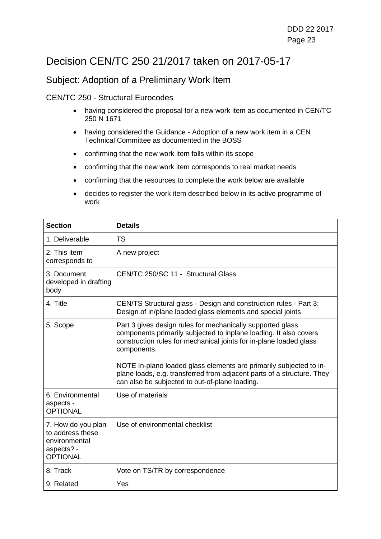## Decision CEN/TC 250 21/2017 taken on 2017-05-17

#### Subject: Adoption of a Preliminary Work Item

#### CEN/TC 250 - Structural Eurocodes

- having considered the proposal for a new work item as documented in CEN/TC 250 N 1671
- having considered the Guidance Adoption of a new work item in a CEN Technical Committee as documented in the BOSS
- confirming that the new work item falls within its scope
- confirming that the new work item corresponds to real market needs
- confirming that the resources to complete the work below are available
- decides to register the work item described below in its active programme of work

| <b>Section</b>                                                                           | <b>Details</b>                                                                                                                                                                                                       |
|------------------------------------------------------------------------------------------|----------------------------------------------------------------------------------------------------------------------------------------------------------------------------------------------------------------------|
| 1. Deliverable                                                                           | <b>TS</b>                                                                                                                                                                                                            |
| 2. This item<br>corresponds to                                                           | A new project                                                                                                                                                                                                        |
| 3. Document<br>developed in drafting<br>body                                             | CEN/TC 250/SC 11 - Structural Glass                                                                                                                                                                                  |
| 4. Title                                                                                 | CEN/TS Structural glass - Design and construction rules - Part 3:<br>Design of in/plane loaded glass elements and special joints                                                                                     |
| 5. Scope                                                                                 | Part 3 gives design rules for mechanically supported glass<br>components primarily subjected to inplane loading. It also covers<br>construction rules for mechanical joints for in-plane loaded glass<br>components. |
|                                                                                          | NOTE In-plane loaded glass elements are primarily subjected to in-<br>plane loads, e.g. transferred from adjacent parts of a structure. They<br>can also be subjected to out-of-plane loading.                       |
| 6. Environmental<br>aspects -<br><b>OPTIONAL</b>                                         | Use of materials                                                                                                                                                                                                     |
| 7. How do you plan<br>to address these<br>environmental<br>aspects? -<br><b>OPTIONAL</b> | Use of environmental checklist                                                                                                                                                                                       |
| 8. Track                                                                                 | Vote on TS/TR by correspondence                                                                                                                                                                                      |
| 9. Related                                                                               | Yes                                                                                                                                                                                                                  |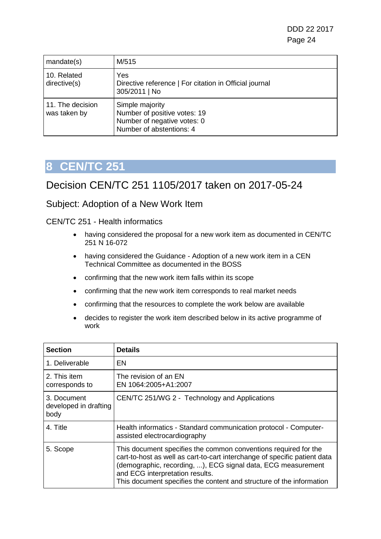| mandate(s)                       | M/515                                                                                                      |
|----------------------------------|------------------------------------------------------------------------------------------------------------|
| 10. Related<br>directive(s)      | Yes<br>Directive reference   For citation in Official journal<br>305/2011   No                             |
| 11. The decision<br>was taken by | Simple majority<br>Number of positive votes: 19<br>Number of negative votes: 0<br>Number of abstentions: 4 |

#### <span id="page-23-0"></span>Decision CEN/TC 251 1105/2017 taken on 2017-05-24

#### Subject: Adoption of a New Work Item

CEN/TC 251 - Health informatics

- having considered the proposal for a new work item as documented in CEN/TC 251 N 16-072
- having considered the Guidance Adoption of a new work item in a CEN Technical Committee as documented in the BOSS
- confirming that the new work item falls within its scope
- confirming that the new work item corresponds to real market needs
- confirming that the resources to complete the work below are available
- decides to register the work item described below in its active programme of work

| <b>Section</b>                               | <b>Details</b>                                                                                                                                                                                                                                                                                                          |
|----------------------------------------------|-------------------------------------------------------------------------------------------------------------------------------------------------------------------------------------------------------------------------------------------------------------------------------------------------------------------------|
| 1. Deliverable                               | EN                                                                                                                                                                                                                                                                                                                      |
| 2. This item<br>corresponds to               | The revision of an EN<br>EN 1064:2005+A1:2007                                                                                                                                                                                                                                                                           |
| 3. Document<br>developed in drafting<br>body | CEN/TC 251/WG 2 - Technology and Applications                                                                                                                                                                                                                                                                           |
| 4. Title                                     | Health informatics - Standard communication protocol - Computer-<br>assisted electrocardiography                                                                                                                                                                                                                        |
| 5. Scope                                     | This document specifies the common conventions required for the<br>cart-to-host as well as cart-to-cart interchange of specific patient data<br>(demographic, recording, ), ECG signal data, ECG measurement<br>and ECG interpretation results.<br>This document specifies the content and structure of the information |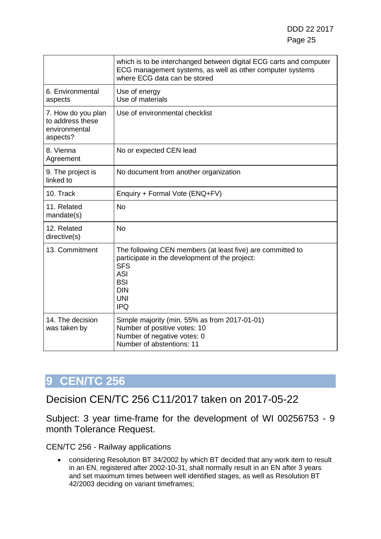|                                                                     | which is to be interchanged between digital ECG carts and computer<br>ECG management systems, as well as other computer systems<br>where ECG data can be stored                                  |
|---------------------------------------------------------------------|--------------------------------------------------------------------------------------------------------------------------------------------------------------------------------------------------|
| 6. Environmental<br>aspects                                         | Use of energy<br>Use of materials                                                                                                                                                                |
| 7. How do you plan<br>to address these<br>environmental<br>aspects? | Use of environmental checklist                                                                                                                                                                   |
| 8. Vienna<br>Agreement                                              | No or expected CEN lead                                                                                                                                                                          |
| 9. The project is<br>linked to                                      | No document from another organization                                                                                                                                                            |
| 10. Track                                                           | Enquiry + Formal Vote (ENQ+FV)                                                                                                                                                                   |
| 11. Related<br>mandate(s)                                           | <b>No</b>                                                                                                                                                                                        |
| 12. Related<br>directive(s)                                         | <b>No</b>                                                                                                                                                                                        |
| 13. Commitment                                                      | The following CEN members (at least five) are committed to<br>participate in the development of the project:<br><b>SFS</b><br><b>ASI</b><br><b>BSI</b><br><b>DIN</b><br><b>UNI</b><br><b>IPQ</b> |
| 14. The decision<br>was taken by                                    | Simple majority (min. 55% as from 2017-01-01)<br>Number of positive votes: 10<br>Number of negative votes: 0<br>Number of abstentions: 11                                                        |

### <span id="page-24-0"></span>Decision CEN/TC 256 C11/2017 taken on 2017-05-22

Subject: 3 year time-frame for the development of WI 00256753 - 9 month Tolerance Request.

CEN/TC 256 - Railway applications

• considering Resolution BT 34/2002 by which BT decided that any work item to result in an EN, registered after 2002-10-31, shall normally result in an EN after 3 years and set maximum times between well identified stages, as well as Resolution BT 42/2003 deciding on variant timeframes;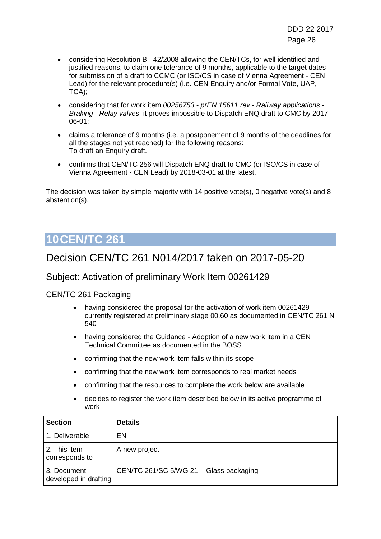- considering Resolution BT 42/2008 allowing the CEN/TCs, for well identified and justified reasons, to claim one tolerance of 9 months, applicable to the target dates for submission of a draft to CCMC (or ISO/CS in case of Vienna Agreement - CEN Lead) for the relevant procedure(s) (i.e. CEN Enquiry and/or Formal Vote, UAP, TCA);
- considering that for work item *00256753 - prEN 15611 rev - Railway applications - Braking - Relay valves*, it proves impossible to Dispatch ENQ draft to CMC by 2017- 06-01;
- claims a tolerance of 9 months (i.e. a postponement of 9 months of the deadlines for all the stages not yet reached) for the following reasons: To draft an Enquiry draft.
- confirms that CEN/TC 256 will Dispatch ENQ draft to CMC (or ISO/CS in case of Vienna Agreement - CEN Lead) by 2018-03-01 at the latest.

The decision was taken by simple majority with 14 positive vote(s), 0 negative vote(s) and 8 abstention(s).

## <span id="page-25-0"></span>**10CEN/TC 261**

### Decision CEN/TC 261 N014/2017 taken on 2017-05-20

#### Subject: Activation of preliminary Work Item 00261429

CEN/TC 261 Packaging

- having considered the proposal for the activation of work item 00261429 currently registered at preliminary stage 00.60 as documented in CEN/TC 261 N 540
- having considered the Guidance Adoption of a new work item in a CEN Technical Committee as documented in the BOSS
- confirming that the new work item falls within its scope
- confirming that the new work item corresponds to real market needs
- confirming that the resources to complete the work below are available
- decides to register the work item described below in its active programme of work

| <b>Section</b>                       | <b>Details</b>                          |
|--------------------------------------|-----------------------------------------|
| 1. Deliverable                       | EN                                      |
| 2. This item<br>corresponds to       | A new project                           |
| 3. Document<br>developed in drafting | CEN/TC 261/SC 5/WG 21 - Glass packaging |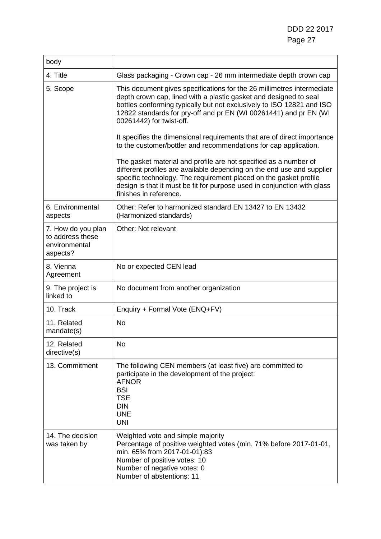| body                                                                |                                                                                                                                                                                                                                                                                                                       |
|---------------------------------------------------------------------|-----------------------------------------------------------------------------------------------------------------------------------------------------------------------------------------------------------------------------------------------------------------------------------------------------------------------|
| 4. Title                                                            | Glass packaging - Crown cap - 26 mm intermediate depth crown cap                                                                                                                                                                                                                                                      |
| 5. Scope                                                            | This document gives specifications for the 26 millimetres intermediate<br>depth crown cap, lined with a plastic gasket and designed to seal<br>bottles conforming typically but not exclusively to ISO 12821 and ISO<br>12822 standards for pry-off and pr EN (WI 00261441) and pr EN (WI<br>00261442) for twist-off. |
|                                                                     | It specifies the dimensional requirements that are of direct importance<br>to the customer/bottler and recommendations for cap application.                                                                                                                                                                           |
|                                                                     | The gasket material and profile are not specified as a number of<br>different profiles are available depending on the end use and supplier<br>specific technology. The requirement placed on the gasket profile<br>design is that it must be fit for purpose used in conjunction with glass<br>finishes in reference. |
| 6. Environmental<br>aspects                                         | Other: Refer to harmonized standard EN 13427 to EN 13432<br>(Harmonized standards)                                                                                                                                                                                                                                    |
| 7. How do you plan<br>to address these<br>environmental<br>aspects? | Other: Not relevant                                                                                                                                                                                                                                                                                                   |
| 8. Vienna<br>Agreement                                              | No or expected CEN lead                                                                                                                                                                                                                                                                                               |
| 9. The project is<br>linked to                                      | No document from another organization                                                                                                                                                                                                                                                                                 |
| 10. Track                                                           | Enquiry + Formal Vote (ENQ+FV)                                                                                                                                                                                                                                                                                        |
| 11. Related<br>mandate(s)                                           | <b>No</b>                                                                                                                                                                                                                                                                                                             |
| 12. Related<br>directive(s)                                         | <b>No</b>                                                                                                                                                                                                                                                                                                             |
| 13. Commitment                                                      | The following CEN members (at least five) are committed to<br>participate in the development of the project:<br><b>AFNOR</b><br><b>BSI</b><br><b>TSE</b><br><b>DIN</b><br><b>UNE</b><br><b>UNI</b>                                                                                                                    |
| 14. The decision<br>was taken by                                    | Weighted vote and simple majority<br>Percentage of positive weighted votes (min. 71% before 2017-01-01,<br>min. 65% from 2017-01-01):83<br>Number of positive votes: 10<br>Number of negative votes: 0<br>Number of abstentions: 11                                                                                   |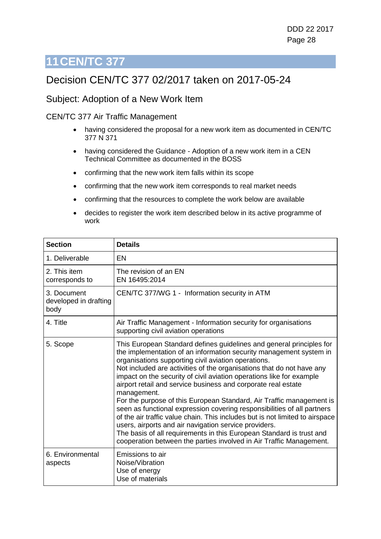## <span id="page-27-0"></span>Decision CEN/TC 377 02/2017 taken on 2017-05-24

#### Subject: Adoption of a New Work Item

#### CEN/TC 377 Air Traffic Management

- having considered the proposal for a new work item as documented in CEN/TC 377 N 371
- having considered the Guidance Adoption of a new work item in a CEN Technical Committee as documented in the BOSS
- confirming that the new work item falls within its scope
- confirming that the new work item corresponds to real market needs
- confirming that the resources to complete the work below are available
- decides to register the work item described below in its active programme of work

| <b>Section</b>                               | <b>Details</b>                                                                                                                                                                                                                                                                                                                                                                                                                                                                                                                                                                                                                                                                                                                                                                                                                                                                |
|----------------------------------------------|-------------------------------------------------------------------------------------------------------------------------------------------------------------------------------------------------------------------------------------------------------------------------------------------------------------------------------------------------------------------------------------------------------------------------------------------------------------------------------------------------------------------------------------------------------------------------------------------------------------------------------------------------------------------------------------------------------------------------------------------------------------------------------------------------------------------------------------------------------------------------------|
| 1. Deliverable                               | EN                                                                                                                                                                                                                                                                                                                                                                                                                                                                                                                                                                                                                                                                                                                                                                                                                                                                            |
| 2. This item<br>corresponds to               | The revision of an EN<br>EN 16495:2014                                                                                                                                                                                                                                                                                                                                                                                                                                                                                                                                                                                                                                                                                                                                                                                                                                        |
| 3. Document<br>developed in drafting<br>body | CEN/TC 377/WG 1 - Information security in ATM                                                                                                                                                                                                                                                                                                                                                                                                                                                                                                                                                                                                                                                                                                                                                                                                                                 |
| 4. Title                                     | Air Traffic Management - Information security for organisations<br>supporting civil aviation operations                                                                                                                                                                                                                                                                                                                                                                                                                                                                                                                                                                                                                                                                                                                                                                       |
| 5. Scope                                     | This European Standard defines guidelines and general principles for<br>the implementation of an information security management system in<br>organisations supporting civil aviation operations.<br>Not included are activities of the organisations that do not have any<br>impact on the security of civil aviation operations like for example<br>airport retail and service business and corporate real estate<br>management.<br>For the purpose of this European Standard, Air Traffic management is<br>seen as functional expression covering responsibilities of all partners<br>of the air traffic value chain. This includes but is not limited to airspace<br>users, airports and air navigation service providers.<br>The basis of all requirements in this European Standard is trust and<br>cooperation between the parties involved in Air Traffic Management. |
| 6. Environmental<br>aspects                  | Emissions to air<br>Noise/Vibration<br>Use of energy<br>Use of materials                                                                                                                                                                                                                                                                                                                                                                                                                                                                                                                                                                                                                                                                                                                                                                                                      |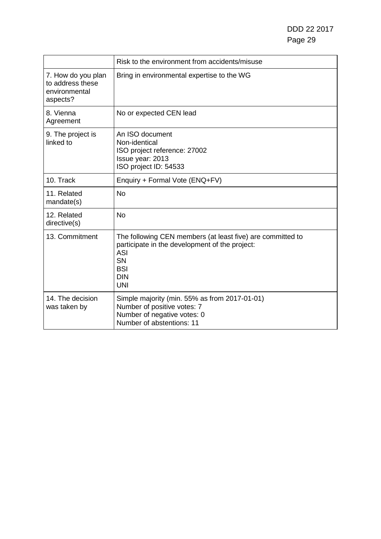DDD 22 2017 Page 29

|                                                                     | Risk to the environment from accidents/misuse                                                                                                                                     |
|---------------------------------------------------------------------|-----------------------------------------------------------------------------------------------------------------------------------------------------------------------------------|
| 7. How do you plan<br>to address these<br>environmental<br>aspects? | Bring in environmental expertise to the WG                                                                                                                                        |
| 8. Vienna<br>Agreement                                              | No or expected CEN lead                                                                                                                                                           |
| 9. The project is<br>linked to                                      | An ISO document<br>Non-identical<br>ISO project reference: 27002<br>Issue year: 2013<br>ISO project ID: 54533                                                                     |
| 10. Track                                                           | Enquiry + Formal Vote (ENQ+FV)                                                                                                                                                    |
| 11. Related<br>mandate(s)                                           | <b>No</b>                                                                                                                                                                         |
| 12. Related<br>directive(s)                                         | <b>No</b>                                                                                                                                                                         |
| 13. Commitment                                                      | The following CEN members (at least five) are committed to<br>participate in the development of the project:<br><b>ASI</b><br><b>SN</b><br><b>BSI</b><br><b>DIN</b><br><b>UNI</b> |
| 14. The decision<br>was taken by                                    | Simple majority (min. 55% as from 2017-01-01)<br>Number of positive votes: 7<br>Number of negative votes: 0<br>Number of abstentions: 11                                          |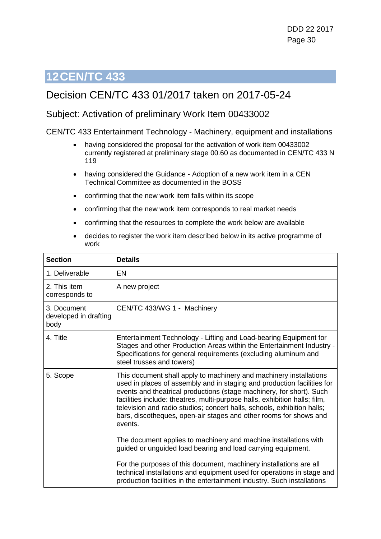### <span id="page-29-0"></span>Decision CEN/TC 433 01/2017 taken on 2017-05-24

#### Subject: Activation of preliminary Work Item 00433002

#### CEN/TC 433 Entertainment Technology - Machinery, equipment and installations

- having considered the proposal for the activation of work item 00433002 currently registered at preliminary stage 00.60 as documented in CEN/TC 433 N 119
- having considered the Guidance Adoption of a new work item in a CEN Technical Committee as documented in the BOSS
- confirming that the new work item falls within its scope
- confirming that the new work item corresponds to real market needs
- confirming that the resources to complete the work below are available
- decides to register the work item described below in its active programme of work

| <b>Section</b>                               | <b>Details</b>                                                                                                                                                                                                                                                                                                                                                                                                                                                 |
|----------------------------------------------|----------------------------------------------------------------------------------------------------------------------------------------------------------------------------------------------------------------------------------------------------------------------------------------------------------------------------------------------------------------------------------------------------------------------------------------------------------------|
| 1. Deliverable                               | EN                                                                                                                                                                                                                                                                                                                                                                                                                                                             |
| 2. This item<br>corresponds to               | A new project                                                                                                                                                                                                                                                                                                                                                                                                                                                  |
| 3. Document<br>developed in drafting<br>body | CEN/TC 433/WG 1 - Machinery                                                                                                                                                                                                                                                                                                                                                                                                                                    |
| 4. Title                                     | Entertainment Technology - Lifting and Load-bearing Equipment for<br>Stages and other Production Areas within the Entertainment Industry -<br>Specifications for general requirements (excluding aluminum and<br>steel trusses and towers)                                                                                                                                                                                                                     |
| 5. Scope                                     | This document shall apply to machinery and machinery installations<br>used in places of assembly and in staging and production facilities for<br>events and theatrical productions (stage machinery, for short). Such<br>facilities include: theatres, multi-purpose halls, exhibition halls; film,<br>television and radio studios; concert halls, schools, exhibition halls;<br>bars, discotheques, open-air stages and other rooms for shows and<br>events. |
|                                              | The document applies to machinery and machine installations with<br>guided or unguided load bearing and load carrying equipment.                                                                                                                                                                                                                                                                                                                               |
|                                              | For the purposes of this document, machinery installations are all<br>technical installations and equipment used for operations in stage and<br>production facilities in the entertainment industry. Such installations                                                                                                                                                                                                                                        |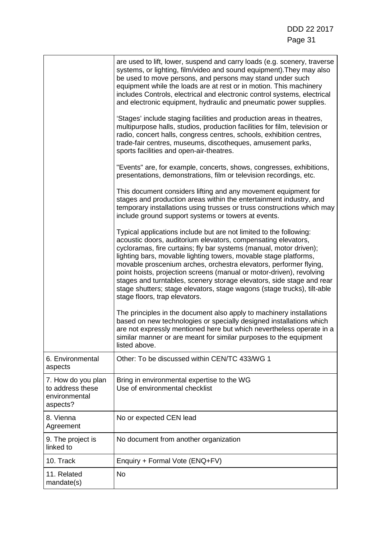|                                                                     | are used to lift, lower, suspend and carry loads (e.g. scenery, traverse<br>systems, or lighting, film/video and sound equipment). They may also<br>be used to move persons, and persons may stand under such<br>equipment while the loads are at rest or in motion. This machinery<br>includes Controls, electrical and electronic control systems, electrical<br>and electronic equipment, hydraulic and pneumatic power supplies.                                                                                                                                                                            |
|---------------------------------------------------------------------|-----------------------------------------------------------------------------------------------------------------------------------------------------------------------------------------------------------------------------------------------------------------------------------------------------------------------------------------------------------------------------------------------------------------------------------------------------------------------------------------------------------------------------------------------------------------------------------------------------------------|
|                                                                     | 'Stages' include staging facilities and production areas in theatres,<br>multipurpose halls, studios, production facilities for film, television or<br>radio, concert halls, congress centres, schools, exhibition centres,<br>trade-fair centres, museums, discotheques, amusement parks,<br>sports facilities and open-air-theatres.                                                                                                                                                                                                                                                                          |
|                                                                     | "Events" are, for example, concerts, shows, congresses, exhibitions,<br>presentations, demonstrations, film or television recordings, etc.                                                                                                                                                                                                                                                                                                                                                                                                                                                                      |
|                                                                     | This document considers lifting and any movement equipment for<br>stages and production areas within the entertainment industry, and<br>temporary installations using trusses or truss constructions which may<br>include ground support systems or towers at events.                                                                                                                                                                                                                                                                                                                                           |
|                                                                     | Typical applications include but are not limited to the following:<br>acoustic doors, auditorium elevators, compensating elevators,<br>cycloramas, fire curtains; fly bar systems (manual, motor driven);<br>lighting bars, movable lighting towers, movable stage platforms,<br>movable proscenium arches, orchestra elevators, performer flying,<br>point hoists, projection screens (manual or motor-driven), revolving<br>stages and turntables, scenery storage elevators, side stage and rear<br>stage shutters; stage elevators, stage wagons (stage trucks), tilt-able<br>stage floors, trap elevators. |
|                                                                     | The principles in the document also apply to machinery installations<br>based on new technologies or specially designed installations which<br>are not expressly mentioned here but which nevertheless operate in a<br>similar manner or are meant for similar purposes to the equipment<br>listed above.                                                                                                                                                                                                                                                                                                       |
| 6. Environmental<br>aspects                                         | Other: To be discussed within CEN/TC 433/WG 1                                                                                                                                                                                                                                                                                                                                                                                                                                                                                                                                                                   |
| 7. How do you plan<br>to address these<br>environmental<br>aspects? | Bring in environmental expertise to the WG<br>Use of environmental checklist                                                                                                                                                                                                                                                                                                                                                                                                                                                                                                                                    |
| 8. Vienna<br>Agreement                                              | No or expected CEN lead                                                                                                                                                                                                                                                                                                                                                                                                                                                                                                                                                                                         |
| 9. The project is<br>linked to                                      | No document from another organization                                                                                                                                                                                                                                                                                                                                                                                                                                                                                                                                                                           |
| 10. Track                                                           | Enquiry + Formal Vote (ENQ+FV)                                                                                                                                                                                                                                                                                                                                                                                                                                                                                                                                                                                  |
| 11. Related<br>mandate(s)                                           | <b>No</b>                                                                                                                                                                                                                                                                                                                                                                                                                                                                                                                                                                                                       |